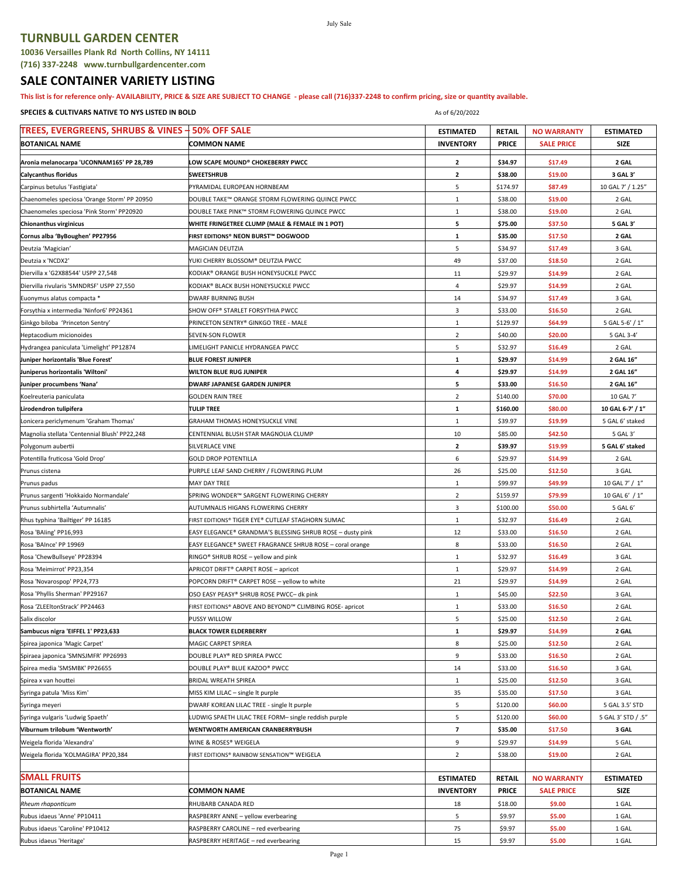## **TURNBULL GARDEN CENTER**

**(716) 337-2248 www.turnbullgardencenter.com**

## **SALE CONTAINER VARIETY LISTING**

**This list is for reference only- AVAILABILITY, PRICE & SIZE ARE SUBJECT TO CHANGE - please call (716)337-2248 to confirm pricing, size or quantity available.**

July Sale

## **SPECIES & CULTIVARS NATIVE TO NYS LISTED IN BOLD As of 6/20/2022** As of 6/20/2022

| TREES, EVERGREENS, SHRUBS & VINES + 50% OFF SALE                                |                                                                             | <b>ESTIMATED</b> | <b>RETAIL</b> | <b>NO WARRANTY</b> | <b>ESTIMATED</b>   |
|---------------------------------------------------------------------------------|-----------------------------------------------------------------------------|------------------|---------------|--------------------|--------------------|
| <b>BOTANICAL NAME</b>                                                           | <b>COMMON NAME</b>                                                          | <b>INVENTORY</b> | <b>PRICE</b>  | <b>SALE PRICE</b>  | <b>SIZE</b>        |
| Aronia melanocarpa 'UCONNAM165' PP 28,789                                       | LOW SCAPE MOUND® CHOKEBERRY PWCC                                            | $\mathbf{2}$     | \$34.97       | \$17.49            | 2 GAL              |
| <b>Calycanthus floridus</b>                                                     | <b>SWEETSHRUB</b>                                                           | $\mathbf{2}$     | \$38.00       | \$19.00            | 3 GAL 3'           |
| Carpinus betulus 'Fastigiata'                                                   | PYRAMIDAL EUROPEAN HORNBEAM                                                 | 5                | \$174.97      | \$87.49            | 10 GAL 7' / 1.25"  |
| Chaenomeles speciosa 'Orange Storm' PP 20950                                    | DOUBLE TAKE™ ORANGE STORM FLOWERING QUINCE PWCC                             | $\,1\,$          | \$38.00       | \$19.00            | 2 GAL              |
| Chaenomeles speciosa 'Pink Storm' PP20920                                       | DOUBLE TAKE PINK™ STORM FLOWERING QUINCE PWCC                               | $1\,$            | \$38.00       | \$19.00            | 2 GAL              |
| Chionanthus virginicus                                                          | WHITE FRINGETREE CLUMP (MALE & FEMALE IN 1 POT)                             | 5                | \$75.00       | \$37.50            | 5 GAL 3'           |
| Cornus alba 'ByBoughen' PP27956                                                 | FIRST EDITIONS® NEON BURST™ DOGWOOD                                         | $\mathbf{1}$     | \$35.00       | \$17.50            | 2 GAL              |
|                                                                                 |                                                                             | 5                | \$34.97       | \$17.49            | 3 GAL              |
| Deutzia 'Magician'<br>Deutzia x 'NCDX2'                                         | MAGICIAN DEUTZIA<br>YUKI CHERRY BLOSSOM® DEUTZIA PWCC                       | 49               | \$37.00       | \$18.50            | 2 GAL              |
|                                                                                 |                                                                             | 11               | \$29.97       |                    | 2 GAL              |
| Diervilla x 'G2X88544' USPP 27,548<br>Diervilla rivularis 'SMNDRSF' USPP 27,550 | KODIAK® ORANGE BUSH HONEYSUCKLE PWCC<br>KODIAK® BLACK BUSH HONEYSUCKLE PWCC | 4                | \$29.97       | \$14.99<br>\$14.99 | 2 GAL              |
|                                                                                 |                                                                             |                  |               |                    |                    |
| Euonymus alatus compacta *                                                      | <b>DWARF BURNING BUSH</b>                                                   | 14<br>3          | \$34.97       | \$17.49            | 3 GAL              |
| Forsythia x intermedia 'Ninfor6' PP24361                                        | SHOW OFF® STARLET FORSYTHIA PWCC                                            |                  | \$33.00       | \$16.50            | 2 GAL              |
| Ginkgo biloba 'Princeton Sentry'                                                | PRINCETON SENTRY® GINKGO TREE - MALE                                        | $\mathbf{1}$     | \$129.97      | \$64.99            | 5 GAL 5-6' / 1"    |
| Heptacodium micionoides                                                         | <b>SEVEN-SON FLOWER</b>                                                     | $\overline{2}$   | \$40.00       | \$20.00            | 5 GAL 3-4'         |
| Hydrangea paniculata 'Limelight' PP12874                                        | LIMELIGHT PANICLE HYDRANGEA PWCC                                            | 5                | \$32.97       | \$16.49            | 2 GAL              |
| Juniper horizontalis 'Blue Forest'                                              | <b>BLUE FOREST JUNIPER</b>                                                  | ${\bf 1}$        | \$29.97       | \$14.99            | 2 GAL 16"          |
| Juniperus horizontalis 'Wiltoni'                                                | <b>WILTON BLUE RUG JUNIPER</b>                                              | 4                | \$29.97       | \$14.99            | 2 GAL 16"          |
| Juniper procumbens 'Nana'                                                       | DWARF JAPANESE GARDEN JUNIPER                                               | 5                | \$33.00       | \$16.50            | 2 GAL 16"          |
| Koelreuteria paniculata                                                         | <b>GOLDEN RAIN TREE</b>                                                     | $\sqrt{2}$       | \$140.00      | \$70.00            | 10 GAL 7'          |
| Lirodendron tulipifera                                                          | <b>TULIP TREE</b>                                                           | ${\bf 1}$        | \$160.00      | \$80.00            | 10 GAL 6-7' / 1"   |
| Lonicera periclymenum 'Graham Thomas'                                           | <b>GRAHAM THOMAS HONEYSUCKLE VINE</b>                                       | $\mathbf{1}$     | \$39.97       | \$19.99            | 5 GAL 6' staked    |
| Magnolia stellata 'Centennial Blush' PP22,248                                   | CENTENNIAL BLUSH STAR MAGNOLIA CLUMP                                        | 10               | \$85.00       | \$42.50            | 5 GAL 3'           |
| Polygonum aubertii                                                              | SILVERLACE VINE                                                             | $\mathbf{2}$     | \$39.97       | \$19.99            | 5 GAL 6' staked    |
| Potentilla fruticosa 'Gold Drop'                                                | <b>GOLD DROP POTENTILLA</b>                                                 | 6                | \$29.97       | \$14.99            | 2 GAL              |
| Prunus cistena                                                                  | PURPLE LEAF SAND CHERRY / FLOWERING PLUM                                    | 26               | \$25.00       | \$12.50            | 3 GAL              |
| Prunus padus                                                                    | MAY DAY TREE                                                                | $\,1\,$          | \$99.97       | \$49.99            | 10 GAL 7' / 1"     |
| Prunus sargenti 'Hokkaido Normandale'                                           | SPRING WONDER™ SARGENT FLOWERING CHERRY                                     | $\overline{2}$   | \$159.97      | \$79.99            | 10 GAL 6' / 1"     |
| Prunus subhirtella 'Autumnalis'                                                 | AUTUMNALIS HIGANS FLOWERING CHERRY                                          | 3                | \$100.00      | \$50.00            | 5 GAL 6'           |
| Rhus typhina 'Bailtiger' PP 16185                                               | FIRST EDITIONS® TIGER EYE® CUTLEAF STAGHORN SUMAC                           | $1\,$            | \$32.97       | \$16.49            | 2 GAL              |
| Rosa 'BAling' PP16,993                                                          | EASY ELEGANCE® GRANDMA'S BLESSING SHRUB ROSE - dusty pink                   | 12               | \$33.00       | \$16.50            | 2 GAL              |
| Rosa 'BAInce' PP 19969                                                          | EASY ELEGANCE® SWEET FRAGRANCE SHRUB ROSE - coral orange                    | 8                | \$33.00       | \$16.50            | 2 GAL              |
| Rosa 'ChewBullseye' PP28394                                                     | RINGO® SHRUB ROSE - yellow and pink                                         | $1\,$            | \$32.97       | \$16.49            | 3 GAL              |
| Rosa 'Meimirrot' PP23,354                                                       | APRICOT DRIFT® CARPET ROSE - apricot                                        | $\mathbf 1$      | \$29.97       | \$14.99            | 2 GAL              |
| Rosa 'Novarospop' PP24,773                                                      | POPCORN DRIFT® CARPET ROSE - yellow to white                                | 21               | \$29.97       | \$14.99            | 2 GAL              |
| Rosa 'Phyllis Sherman' PP29167                                                  | OSO EASY PEASY® SHRUB ROSE PWCC- dk pink                                    | $\mathbf{1}$     | \$45.00       | \$22.50            | 3 GAL              |
| Rosa 'ZLEEltonStrack' PP24463                                                   | FIRST EDITIONS® ABOVE AND BEYOND™ CLIMBING ROSE- apricot                    | $\,1\,$          | \$33.00       | \$16.50            | 2 GAL              |
| Salix discolor                                                                  | PUSSY WILLOW                                                                | 5                | \$25.00       | \$12.50            | 2 GAL              |
| Sambucus nigra 'EIFFEL 1' PP23,633                                              | <b>BLACK TOWER ELDERBERRY</b>                                               | $\mathbf{1}$     | \$29.97       | \$14.99            | 2 GAL              |
| Spirea japonica 'Magic Carpet'                                                  | MAGIC CARPET SPIREA                                                         | 8                | \$25.00       | \$12.50            | 2 GAL              |
| Spiraea japonica 'SMNSJMFR' PP26993                                             | DOUBLE PLAY® RED SPIREA PWCC                                                | 9                | \$33.00       | \$16.50            | 2 GAL              |
| Spirea media 'SMSMBK' PP26655                                                   | DOUBLE PLAY® BLUE KAZOO® PWCC                                               | 14               | \$33.00       | \$16.50            | 3 GAL              |
| Spirea x van houttei                                                            | <b>BRIDAL WREATH SPIREA</b>                                                 | $\mathbf{1}$     | \$25.00       | \$12.50            | 3 GAL              |
| Syringa patula 'Miss Kim'                                                       | MISS KIM LILAC - single It purple                                           | 35               | \$35.00       | \$17.50            | 3 GAL              |
| Syringa meyeri                                                                  | DWARF KOREAN LILAC TREE - single It purple                                  | 5                | \$120.00      | \$60.00            | 5 GAL 3.5' STD     |
| Syringa vulgaris 'Ludwig Spaeth'                                                | LUDWIG SPAETH LILAC TREE FORM- single reddish purple                        | 5                | \$120.00      | \$60.00            | 5 GAL 3' STD / .5" |
| Viburnum trilobum 'Wentworth'                                                   | WENTWORTH AMERICAN CRANBERRYBUSH                                            | 7                | \$35.00       | \$17.50            | 3 GAL              |
| Weigela florida 'Alexandra'                                                     | WINE & ROSES® WEIGELA                                                       | 9                | \$29.97       | \$14.99            | 5 GAL              |
| Weigela florida 'KOLMAGIRA' PP20,384                                            | FIRST EDITIONS® RAINBOW SENSATION™ WEIGELA                                  | $\overline{2}$   | \$38.00       | \$19.00            | 2 GAL              |
|                                                                                 |                                                                             |                  |               |                    |                    |
| <b>SMALL FRUITS</b>                                                             |                                                                             | <b>ESTIMATED</b> | <b>RETAIL</b> | <b>NO WARRANTY</b> | <b>ESTIMATED</b>   |
| <b>BOTANICAL NAME</b>                                                           | <b>COMMON NAME</b>                                                          | <b>INVENTORY</b> | <b>PRICE</b>  | <b>SALE PRICE</b>  | SIZE               |
| Rheum rhaponticum                                                               | RHUBARB CANADA RED                                                          | 18               | \$18.00       | \$9.00             | 1 GAL              |
| Rubus idaeus 'Anne' PP10411                                                     | RASPBERRY ANNE - yellow everbearing                                         | 5                | \$9.97        | \$5.00             | 1 GAL              |
| Rubus idaeus 'Caroline' PP10412                                                 | RASPBERRY CAROLINE - red everbearing                                        | 75               | \$9.97        | \$5.00             | 1 GAL              |
| Rubus idaeus 'Heritage'                                                         | RASPBERRY HERITAGE - red everbearing                                        | 15               | \$9.97        | \$5.00             | 1 GAL              |